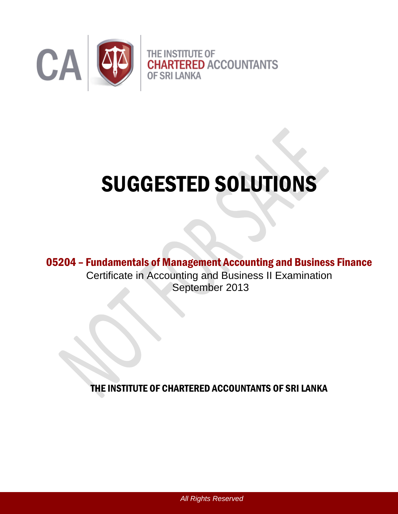

# SUGGESTED SOLUTIONS

05204 – Fundamentals of Management Accounting and Business Finance Certificate in Accounting and Business II Examination September 2013

THE INSTITUTE OF CHARTERED ACCOUNTANTS OF SRI LANKA

*All Rights Reserved*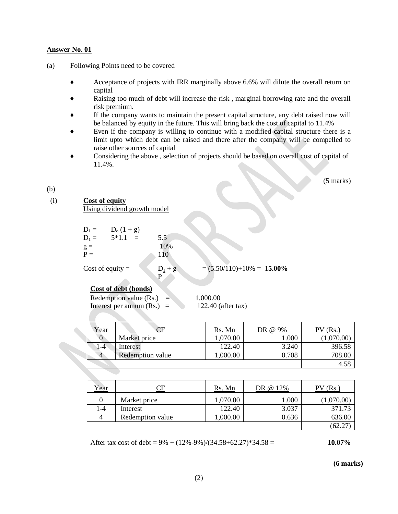- (a) Following Points need to be covered
	- ♦ Acceptance of projects with IRR marginally above 6.6% will dilute the overall return on capital
	- Raising too much of debt will increase the risk, marginal borrowing rate and the overall risk premium.
	- If the company wants to maintain the present capital structure, any debt raised now will be balanced by equity in the future. This will bring back the cost of capital to 11.4%
	- Even if the company is willing to continue with a modified capital structure there is a limit upto which debt can be raised and there after the company will be compelled to raise other sources of capital
	- Considering the above, selection of projects should be based on overall cost of capital of 11.4%.

(5 marks)

#### (b)

#### (i) **Cost of equity**

Using dividend growth model

| $D_1 =$<br>$D_1 =$ | $D_0(1 + g)$<br>$5*1.1$<br>$\equiv$ | 5.5 |
|--------------------|-------------------------------------|-----|
| $g =$              |                                     | 10% |
| $P =$              |                                     | 110 |
|                    |                                     |     |

Cost of equity =  $\underline{D_1} + g$  = (5.50/110)+10% = 1**5.00%** 

#### **Cost of debt (bonds)**

Redemption value  $(Rs.) = 1,000.00$ Interest per annum  $(Rs.) = 122.40$  (after tax)

P

| rear |                  | Rs. Mn  | @ 9%  | Rs.        |
|------|------------------|---------|-------|------------|
|      | Market price     | ,070.00 | 1.000 | (1,070.00) |
| $-4$ | Interest         | 122.40  | 3.240 | 396.58     |
| 4    | Redemption value | .000.00 | 0.708 | 708.00     |
|      |                  |         |       |            |

| Year | ∼F               | Rs. Mn     | DR @ 12%  | $\mathcal{N}$ (Rs.) |
|------|------------------|------------|-----------|---------------------|
|      | Market price     | 1,070.00   | $1.000\,$ | (1,070.00)          |
| l -4 | Interest         | 122.40     | 3.037     | 371.73              |
|      | Redemption value | $00.000$ , | 0.636     | 636.00              |
|      |                  |            |           | 62.2                |

After tax cost of debt = 9% + (12%-9%)/(34.58+62.27)\*34.58 = **10.07%**

**(6 marks)**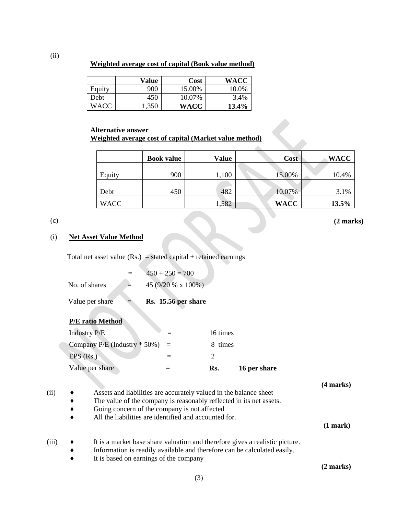**Weighted average cost of capital (Book value method)**

|        | Value | Cost   | WACC  |
|--------|-------|--------|-------|
| Equity | 900   | 15.00% | 10.0% |
| Debt   | 450   | 10.07% | 3.4%  |
| WACC   | 1,350 | WACC   | 13.4% |

#### **Alternative answer Weighted average cost of capital (Market value method)**

|             | <b>Book value</b> | Value | Cost        | <b>WACC</b> |
|-------------|-------------------|-------|-------------|-------------|
|             |                   |       |             |             |
| Equity      | 900               | ,100  | 15.00%      | 10.4%       |
|             |                   |       |             |             |
| Debt        | 450               | 482   | 10.07%      | 3.1%        |
| <b>WACC</b> |                   | ,582  | <b>WACC</b> | 13.5%       |

Ä

#### (c)

**(2 marks)**

#### (i) **Net Asset Value Method**

Total net asset value  $(Rs.)$  = stated capital + retained earnings

| Value per share | Rs. 15.56 per share  |
|-----------------|----------------------|
| No. of shares   | 45 $(9/20 % x 100%)$ |
|                 | $450 + 250 = 700$    |

#### **P/E ratio Method**

| Value per share                  | Rs.      | 16 per share |
|----------------------------------|----------|--------------|
| $EPS$ (Rs.)                      |          |              |
| Company P/E (Industry $*$ 50%) = | 8 times  |              |
| <b>Industry P/E</b>              | 16 times |              |

**(4 marks)**

- 
- $(i) \rightarrow$  Assets and liabilities are accurately valued in the balance sheet The value of the company is reasonably reflected in its net assets.
	- Going concern of the company is not affected
	- All the liabilities are identified and accounted for.

#### **(1 mark)**

- (iii) ♦ It is a market base share valuation and therefore gives a realistic picture.
	- Information is readily available and therefore can be calculated easily.
	- ♦ It is based on earnings of the company

**(2 marks)**

(ii)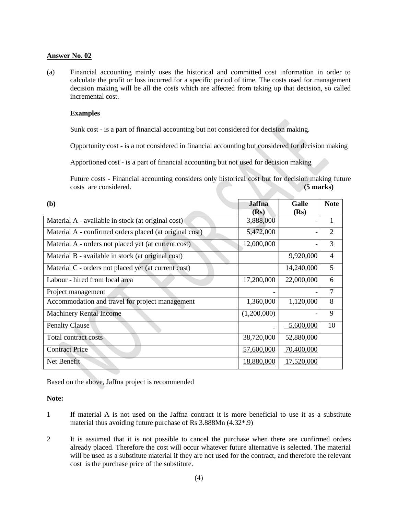(a) Financial accounting mainly uses the historical and committed cost information in order to calculate the profit or loss incurred for a specific period of time. The costs used for management decision making will be all the costs which are affected from taking up that decision, so called incremental cost.

#### **Examples**

Sunk cost - is a part of financial accounting but not considered for decision making.

Opportunity cost - is a not considered in financial accounting but considered for decision making

Apportioned cost - is a part of financial accounting but not used for decision making

Future costs - Financial accounting considers only historical cost but for decision making future costs are considered. **(5 marks)**

| (b)                                                     | <b>Jaffna</b><br>(Rs) | <b>Galle</b><br>(Rs) | <b>Note</b>    |
|---------------------------------------------------------|-----------------------|----------------------|----------------|
| Material A - available in stock (at original cost)      | 3,888,000             |                      |                |
| Material A - confirmed orders placed (at original cost) | 5,472,000             |                      | $\overline{2}$ |
| Material A - orders not placed yet (at current cost)    | 12,000,000            |                      | 3              |
| Material B - available in stock (at original cost)      |                       | 9,920,000            | $\overline{4}$ |
| Material C - orders not placed yet (at current cost)    |                       | 14,240,000           | 5              |
| Labour - hired from local area                          | 17,200,000            | 22,000,000           | 6              |
| Project management                                      |                       |                      | 7              |
| Accommodation and travel for project management         | 1,360,000             | 1,120,000            | 8              |
| <b>Machinery Rental Income</b>                          | (1,200,000)           |                      | 9              |
| <b>Penalty Clause</b>                                   |                       | 5,600,000            | 10             |
| Total contract costs                                    | 38,720,000            | 52,880,000           |                |
| <b>Contract Price</b>                                   | 57,600,000            | 70,400,000           |                |
| Net Benefit                                             | 18,880,000            | 17,520,000           |                |

Based on the above, Jaffna project is recommended

#### **Note:**

- 1 If material A is not used on the Jaffna contract it is more beneficial to use it as a substitute material thus avoiding future purchase of Rs 3.888Mn (4.32\*.9)
- 2 It is assumed that it is not possible to cancel the purchase when there are confirmed orders already placed. Therefore the cost will occur whatever future alternative is selected. The material will be used as a substitute material if they are not used for the contract, and therefore the relevant cost is the purchase price of the substitute.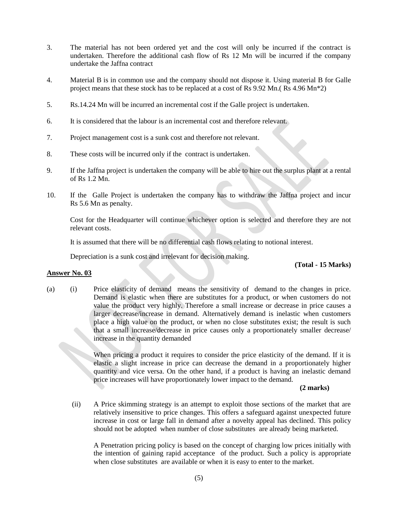- 3. The material has not been ordered yet and the cost will only be incurred if the contract is undertaken. Therefore the additional cash flow of Rs 12 Mn will be incurred if the company undertake the Jaffna contract
- 4. Material B is in common use and the company should not dispose it. Using material B for Galle project means that these stock has to be replaced at a cost of Rs 9.92 Mn.( Rs 4.96 Mn\*2)
- 5. Rs.14.24 Mn will be incurred an incremental cost if the Galle project is undertaken.
- 6. It is considered that the labour is an incremental cost and therefore relevant.
- 7. Project management cost is a sunk cost and therefore not relevant.
- 8. These costs will be incurred only if the contract is undertaken.
- 9. If the Jaffna project is undertaken the company will be able to hire out the surplus plant at a rental of Rs 1.2 Mn.
- 10. If the Galle Project is undertaken the company has to withdraw the Jaffna project and incur Rs 5.6 Mn as penalty.

Cost for the Headquarter will continue whichever option is selected and therefore they are not relevant costs.

It is assumed that there will be no differential cash flows relating to notional interest.

Depreciation is a sunk cost and irrelevant for decision making.

**Answer No. 03**

#### **(Total - 15 Marks)**

(a) (i) Price elasticity of demand means the sensitivity of demand to the changes in price. Demand is elastic when there are substitutes for a product, or when customers do not value the product very highly. Therefore a small increase or decrease in price causes a larger decrease/increase in demand. Alternatively demand is inelastic when customers place a high value on the product, or when no close substitutes exist; the result is such that a small increase/decrease in price causes only a proportionately smaller decrease/ increase in the quantity demanded

> When pricing a product it requires to consider the price elasticity of the demand. If it is elastic a slight increase in price can decrease the demand in a proportionately higher quantity and vice versa. On the other hand, if a product is having an inelastic demand price increases will have proportionately lower impact to the demand.

#### **(2 marks)**

(ii) A Price skimming strategy is an attempt to exploit those sections of the market that are relatively insensitive to price changes. This offers a safeguard against unexpected future increase in cost or large fall in demand after a novelty appeal has declined. This policy should not be adopted when number of close substitutes are already being marketed.

A Penetration pricing policy is based on the concept of charging low prices initially with the intention of gaining rapid acceptance of the product. Such a policy is appropriate when close substitutes are available or when it is easy to enter to the market.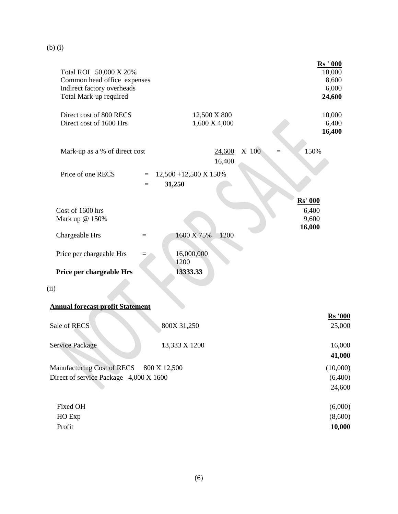| Total ROI 50,000 X 20%<br>Common head office expenses<br>Indirect factory overheads<br>Total Mark-up required |                                                                      | <b>Rs</b> ' 000<br>10,000<br>8,600<br>6,000<br>24,600 |
|---------------------------------------------------------------------------------------------------------------|----------------------------------------------------------------------|-------------------------------------------------------|
| Direct cost of 800 RECS<br>Direct cost of 1600 Hrs                                                            | 12,500 X 800<br>1,600 X 4,000                                        | 10,000<br>6,400<br>16,400                             |
| Mark-up as a % of direct cost                                                                                 | X 100<br>24,600<br>16,400                                            | 150%<br>$=$                                           |
| Price of one RECS                                                                                             | $12,500 + 12,500 \text{ X } 150\%$<br>$\equiv$<br>31,250<br>$\equiv$ | <b>Rs' 000</b>                                        |
| Cost of 1600 hrs<br>Mark up @ 150%                                                                            |                                                                      | 6,400<br>9,600<br>16,000                              |
| Chargeable Hrs                                                                                                | 1200<br>1600 X 75%<br>$=$                                            |                                                       |
| Price per chargeable Hrs                                                                                      | 16,000,000<br>1200                                                   |                                                       |
| Price per chargeable Hrs                                                                                      | 13333.33                                                             |                                                       |
| (ii)                                                                                                          |                                                                      |                                                       |
| <b>Annual forecast profit Statement</b>                                                                       |                                                                      |                                                       |
| Sale of RECS                                                                                                  | 800X 31,250                                                          | <b>Rs</b> '000<br>25,000                              |
| Service Package                                                                                               | 13,333 X 1200                                                        | 16,000<br>41,000                                      |
| Manufacturing Cost of RECS                                                                                    | 800 X 12,500                                                         | (10,000)                                              |
| Direct of service Package 4,000 X 1600                                                                        |                                                                      | (6,400)<br>24,600                                     |
| Fixed OH                                                                                                      |                                                                      | (6,000)                                               |
| HO Exp                                                                                                        |                                                                      | (8,600)                                               |
| Profit                                                                                                        |                                                                      | 10,000                                                |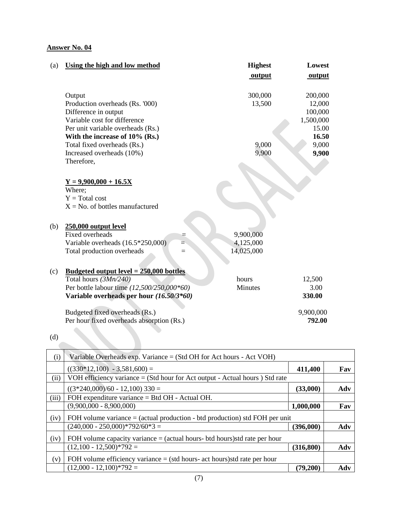| (a) | Using the high and low method                               |     | <b>Highest</b><br>output | Lowest<br>output |
|-----|-------------------------------------------------------------|-----|--------------------------|------------------|
|     | Output                                                      |     | 300,000                  | 200,000          |
|     | Production overheads (Rs. '000)                             |     | 13,500                   | 12,000           |
|     | Difference in output                                        |     |                          | 100,000          |
|     | Variable cost for difference                                |     |                          | 1,500,000        |
|     | Per unit variable overheads (Rs.)                           |     |                          | 15.00            |
|     | With the increase of 10% (Rs.)                              |     |                          | 16.50            |
|     | Total fixed overheads (Rs.)                                 |     | 9,000                    | 9,000            |
|     | Increased overheads (10%)                                   |     | 9,900                    | 9,900            |
|     | Therefore,                                                  |     |                          |                  |
|     | $Y = 9,900,000 + 16.5X$                                     |     |                          |                  |
|     | Where;                                                      |     |                          |                  |
|     | $Y = Total cost$                                            |     |                          |                  |
|     | $X = No$ . of bottles manufactured                          |     |                          |                  |
|     |                                                             |     |                          |                  |
| (b) | 250,000 output level                                        |     |                          |                  |
|     | <b>Fixed overheads</b>                                      |     | 9,900,000                |                  |
|     | Variable overheads (16.5*250,000)                           |     | 4,125,000                |                  |
|     | Total production overheads                                  | $=$ | 14,025,000               |                  |
| (c) | <u>Budgeted output level = <math>250,000</math> bottles</u> |     |                          |                  |
|     | Total hours (3Mn/240)                                       |     | hours                    | 12,500           |
|     | Per bottle labour time (12,500/250,000*60)                  |     | Minutes                  | 3.00             |
|     | Variable overheads per hour (16.50/3*60)                    |     |                          | 330.00           |
|     | Budgeted fixed overheads (Rs.)                              |     |                          | 9,900,000        |
|     | Per hour fixed overheads absorption (Rs.)                   |     |                          | 792.00           |

| (d)        |                                                                               |            |     |
|------------|-------------------------------------------------------------------------------|------------|-----|
| (i)        | Variable Overheads exp. Variance $=$ (Std OH for Act hours - Act VOH)         |            |     |
|            | $((330*12,100) - 3,581,600) =$                                                | 411,400    | Fav |
| $\rm (ii)$ | VOH efficiency variance $=$ (Std hour for Act output - Actual hours) Std rate |            |     |
|            | $((3*240,000)/60 - 12,100)$ 330 =                                             | (33,000)   | Adv |
| (iii)      | FOH expenditure variance = Btd OH - Actual OH.                                |            |     |
|            | $(9,900,000 - 8,900,000)$                                                     | 1,000,000  | Fav |
| (iv)       | FOH volume variance $=$ (actual production - btd production) std FOH per unit |            |     |
|            | $(240,000 - 250,000)$ * 792/60 * 3 =                                          | (396,000)  | Adv |
| (iv)       | FOH volume capacity variance $=$ (actual hours- btd hours) std rate per hour  |            |     |
|            | $(12,100 - 12,500)*792 =$                                                     | (316, 800) | Adv |
| (v)        | FOH volume efficiency variance $=$ (std hours- act hours) std rate per hour   |            |     |
|            | $(12,000 - 12,100)*792 =$                                                     | (79,200)   | Adv |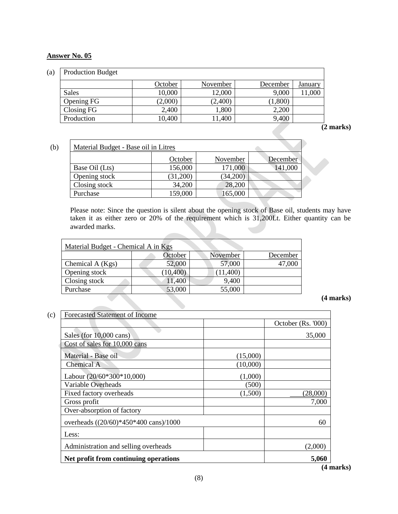| (a) | <b>Production Budget</b> |         |          |          |                |
|-----|--------------------------|---------|----------|----------|----------------|
|     |                          | October | November | December | <u>January</u> |
|     | <b>Sales</b>             | 10,000  | 12,000   | 9,000    | 11,000         |
|     | Opening FG               | (2,000) | (2,400)  | (1,800)  |                |
|     | Closing FG               | 2,400   | 1,800    | 2,200    |                |
|     | Production               | 10,400  | 1,400    | 9,400    |                |

**(2 marks)**

| (b) | Material Budget - Base oil in Litres |          |          |          |  |  |  |
|-----|--------------------------------------|----------|----------|----------|--|--|--|
|     |                                      | October  | November | December |  |  |  |
|     | Base Oil (Lts)                       | 156,000  | 171,000  | 141,000  |  |  |  |
|     | Opening stock                        | (31,200) | (34,200) |          |  |  |  |
|     | Closing stock                        | 34,200   | 28,200   |          |  |  |  |
|     | Purchase                             | 159,000  | 165,000  |          |  |  |  |

Please note: Since the question is silent about the opening stock of Base oil, students may have taken it as either zero or 20% of the requirement which is 31,200Lt. Either quantity can be awarded marks.

| Material Budget - Chemical A in Kgs |           |          |          |  |  |  |
|-------------------------------------|-----------|----------|----------|--|--|--|
|                                     | October   | November | December |  |  |  |
| Chemical A (Kgs)                    | 52,000    | 57,000   | 47,000   |  |  |  |
| Opening stock                       | (10, 400) | (11,400) |          |  |  |  |
| Closing stock                       | 11,400    | 9,400    |          |  |  |  |
| Purchase                            | 53,000    | 55,000   |          |  |  |  |

### **(4 marks)**

| Forecasted Statement of Income        |          |                     |
|---------------------------------------|----------|---------------------|
|                                       |          | October $(Rs. 000)$ |
| Sales (for $10,000$ cans)             |          | 35,000              |
| Cost of sales for 10,000 cans         |          |                     |
| Material - Base oil                   | (15,000) |                     |
| Chemical A                            | (10,000) |                     |
| Labour $(20/60*300*10,000)$           | (1,000)  |                     |
| Variable Overheads                    | (500)    |                     |
| Fixed factory overheads               | (1,500)  | (28,000)            |
| Gross profit                          |          | 7,000               |
| Over-absorption of factory            |          |                     |
| overheads ((20/60)*450*400 cans)/1000 |          | 60                  |
| Less:                                 |          |                     |
| Administration and selling overheads  |          | (2,000)             |
| Net profit from continuing operations |          | 5,060               |

**(4 marks)**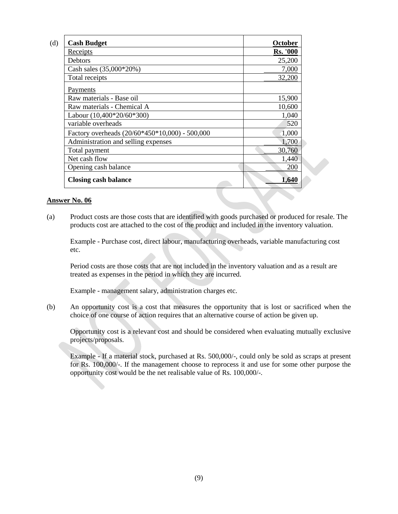| <b>Cash Budget</b>                             | October         |
|------------------------------------------------|-----------------|
| Receipts                                       | <b>Rs. '000</b> |
| <b>Debtors</b>                                 | 25,200          |
| Cash sales (35,000*20%)                        | 7,000           |
| Total receipts                                 | 32,200          |
| Payments                                       |                 |
| Raw materials - Base oil                       | 15,900          |
| Raw materials - Chemical A                     | 10,600          |
| Labour $(10,400*20/60*300)$                    | 1,040           |
| variable overheads                             | 520             |
| Factory overheads (20/60*450*10,000) - 500,000 | 1,000           |
| Administration and selling expenses            | 1,700           |
| Total payment                                  | 30,760          |
| Net cash flow                                  | 1,440           |
| Opening cash balance                           | 200             |
| <b>Closing cash balance</b>                    | 1,640           |

(a) Product costs are those costs that are identified with goods purchased or produced for resale. The products cost are attached to the cost of the product and included in the inventory valuation.

Example - Purchase cost, direct labour, manufacturing overheads, variable manufacturing cost etc.

Period costs are those costs that are not included in the inventory valuation and as a result are treated as expenses in the period in which they are incurred.

Example - management salary, administration charges etc.

(b) An opportunity cost is a cost that measures the opportunity that is lost or sacrificed when the choice of one course of action requires that an alternative course of action be given up.

Opportunity cost is a relevant cost and should be considered when evaluating mutually exclusive projects/proposals.

Example - If a material stock, purchased at Rs. 500,000/-, could only be sold as scraps at present for Rs. 100,000/-. If the management choose to reprocess it and use for some other purpose the opportunity cost would be the net realisable value of Rs. 100,000/-.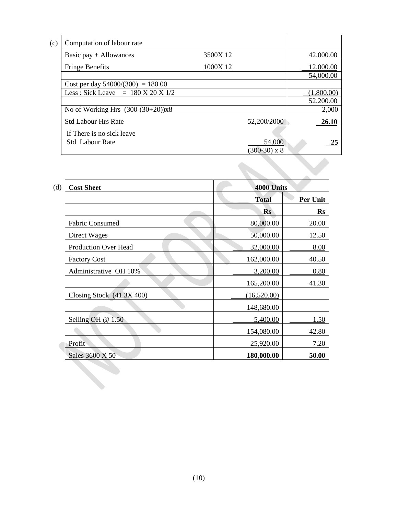| (c) | Computation of labour rate                            |          |                     |              |
|-----|-------------------------------------------------------|----------|---------------------|--------------|
|     | Basic pay $+$ Allowances                              | 3500X 12 |                     | 42,000.00    |
|     | <b>Fringe Benefits</b>                                | 1000X 12 |                     | 12,000.00    |
|     |                                                       |          |                     | 54,000.00    |
|     | Cost per day $54000/(300) = 180.00$                   |          |                     |              |
|     | Less: Sick Leave = $180 \text{ X } 20 \text{ X } 1/2$ |          |                     | (1,800.00)   |
|     |                                                       |          |                     | 52,200.00    |
|     | No of Working Hrs $(300-(30+20))\times 8$             |          |                     | 2,000        |
|     | <b>Std Labour Hrs Rate</b>                            |          | 52,200/2000         | <b>26.10</b> |
|     | If There is no sick leave                             |          |                     |              |
|     | <b>Std</b> Labour Rate                                |          | 54,000              |              |
|     |                                                       |          | $(300-30) \times 8$ |              |

| <b>Cost Sheet</b>           | 4000 Units   |           |
|-----------------------------|--------------|-----------|
|                             | <b>Total</b> | Per Unit  |
|                             | <b>Rs</b>    | <b>Rs</b> |
| <b>Fabric Consumed</b>      | 80,000.00    | 20.00     |
| Direct Wages                | 50,000.00    | 12.50     |
| <b>Production Over Head</b> | 32,000.00    | 8.00      |
| <b>Factory Cost</b>         | 162,000.00   | 40.50     |
| Administrative OH 10%       | 3,200.00     | 0.80      |
|                             | 165,200.00   | 41.30     |
| Closing Stock (41.3X 400)   | (16,520.00)  |           |
|                             | 148,680.00   |           |
| Selling OH @ 1.50           | 5,400.00     | 1.50      |
|                             | 154,080.00   | 42.80     |
| Profit                      | 25,920.00    | 7.20      |
| Sales 3600 X 50             | 180,000.00   | 50.00     |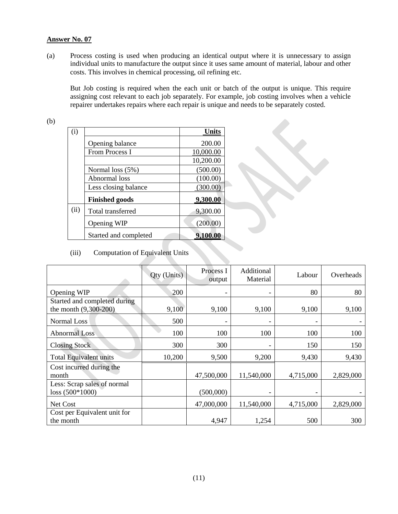(a) Process costing is used when producing an identical output where it is unnecessary to assign individual units to manufacture the output since it uses same amount of material, labour and other costs. This involves in chemical processing, oil refining etc.

But Job costing is required when the each unit or batch of the output is unique. This require assigning cost relevant to each job separately. For example, job costing involves when a vehicle repairer undertakes repairs where each repair is unique and needs to be separately costed.

(b)

| (i)  |                       | <b>Units</b> |
|------|-----------------------|--------------|
|      | Opening balance       | 200.00       |
|      | <b>From Process I</b> | 10,000.00    |
|      |                       | 10,200.00    |
|      | Normal loss $(5%)$    | (500.00)     |
|      | Abnormal loss         | (100.00)     |
|      | Less closing balance  | (300.00)     |
|      | <b>Finished goods</b> | 9,300.00     |
| (ii) | Total transferred     | 9,300.00     |
|      | Opening WIP           | (200.00)     |
|      | Started and completed | 9,100.00     |

(iii) Computation of Equivalent Units

|                               | Qty (Units) | Process I<br>output | Additional<br>Material       | Labour    | Overheads |
|-------------------------------|-------------|---------------------|------------------------------|-----------|-----------|
| Opening WIP                   | 200         |                     | -                            | 80        | 80        |
| Started and completed during  |             |                     |                              |           |           |
| the month (9,300-200)         | 9,100       | 9,100               | 9,100                        | 9,100     | 9,100     |
| Normal Loss                   | 500         | -                   | $\qquad \qquad \blacksquare$ |           |           |
| <b>Abnormal Loss</b>          | 100         | 100                 | 100                          | 100       | 100       |
| <b>Closing Stock</b>          | 300         | 300                 |                              | 150       | 150       |
| <b>Total Equivalent units</b> | 10,200      | 9,500               | 9,200                        | 9,430     | 9,430     |
| Cost incurred during the      |             |                     |                              |           |           |
| month                         |             | 47,500,000          | 11,540,000                   | 4,715,000 | 2,829,000 |
| Less: Scrap sales of normal   |             |                     |                              |           |           |
| $loss (500*1000)$             |             | (500,000)           |                              |           |           |
| Net Cost                      |             | 47,000,000          | 11,540,000                   | 4,715,000 | 2,829,000 |
| Cost per Equivalent unit for  |             |                     |                              |           |           |
| the month                     |             | 4,947               | 1,254                        | 500       | 300       |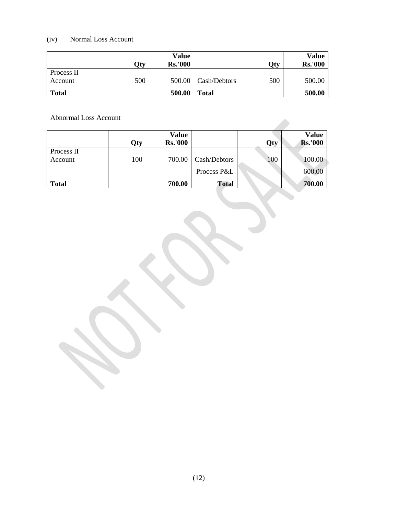# (iv) Normal Loss Account

|              | Qty | Value<br><b>Rs.'000</b> |              | Qty | Value<br><b>Rs.'000</b> |
|--------------|-----|-------------------------|--------------|-----|-------------------------|
| Process II   |     |                         |              |     |                         |
| Account      | 500 | 500.00                  | Cash/Debtors | 500 | 500.00                  |
| <b>Total</b> |     | 500.00                  | <b>Total</b> |     | 500.00                  |

Abnormal Loss Account

| Abnormal Loss Account |     |                         |              |     |                                |
|-----------------------|-----|-------------------------|--------------|-----|--------------------------------|
|                       | Qty | Value<br><b>Rs.'000</b> |              | Qty | <b>Value</b><br><b>Rs.'000</b> |
| Process II            |     |                         |              |     |                                |
| Account               | 100 | 700.00                  | Cash/Debtors | 100 | 100.00                         |
|                       |     |                         | Process P&L  |     | 600.00                         |
| <b>Total</b>          |     | 700.00                  | <b>Total</b> |     | 700.00                         |